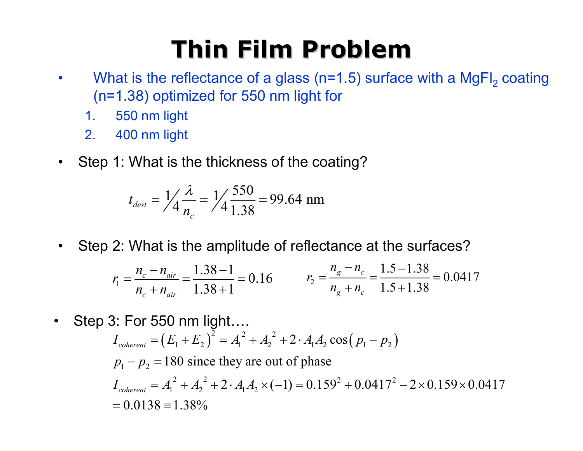## **Thin Film Problem Thin Film Problem**

- $\bullet$ What is the reflectance of a glass (n=1.5) surface with a MgFl $_{\rm 2}$  coating (n=1.38) optimized for 550 nm light for
	- 1. 550 nm light
	- 2. 400 nm light
- $\bullet$ Step 1: What is the thickness of the coating?

$$
t_{\text{dest}} = \frac{1}{4} \frac{\lambda}{n_c} = \frac{1}{4} \frac{550}{1.38} = 99.64 \text{ nm}
$$

•Step 2: What is the amplitude of reflectance at the surfaces?

$$
r_1 = \frac{n_c - n_{air}}{n_c + n_{air}} = \frac{1.38 - 1}{1.38 + 1} = 0.16
$$
\n
$$
r_2 = \frac{n_g - n_c}{n_g + n_c} = \frac{1.5 - 1.38}{1.5 + 1.38} = 0.0417
$$

•Step 3: For 550 nm light….

$$
I_{coherent} = (E_1 + E_2)^2 = A_1^2 + A_2^2 + 2 \cdot A_1 A_2 \cos (p_1 - p_2)
$$
  
\n
$$
p_1 - p_2 = 180 \text{ since they are out of phase}
$$
  
\n
$$
I_{coherent} = A_1^2 + A_2^2 + 2 \cdot A_1 A_2 \times (-1) = 0.159^2 + 0.0417^2 - 2 \times 0.159 \times 0.0417
$$
  
\n
$$
= 0.0138 \equiv 1.38\%
$$